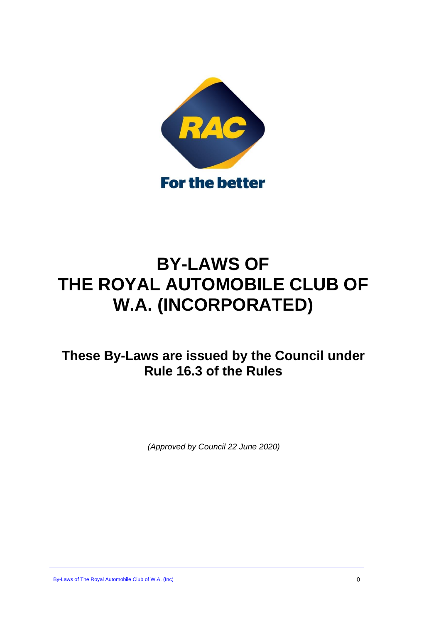

# **BY-LAWS OF THE ROYAL AUTOMOBILE CLUB OF W.A. (INCORPORATED)**

**These By-Laws are issued by the Council under Rule 16.3 of the Rules**

*(Approved by Council 22 June 2020)*

By-Laws of The Royal Automobile Club of W.A. (Inc) 0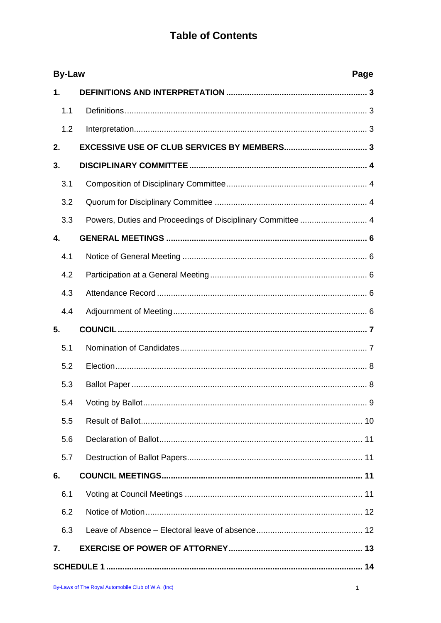# **Table of Contents**

|               | <b>By-Law</b><br>Page |  |  |
|---------------|-----------------------|--|--|
| $\mathbf 1$ . |                       |  |  |
| 1.1           |                       |  |  |
| 1.2           |                       |  |  |
| 2.            |                       |  |  |
| 3.            |                       |  |  |
| 3.1           |                       |  |  |
| 3.2           |                       |  |  |
| 3.3           |                       |  |  |
| 4.            |                       |  |  |
| 4.1           |                       |  |  |
| 4.2           |                       |  |  |
| 4.3           |                       |  |  |
| 4.4           |                       |  |  |
| 5.            |                       |  |  |
| 5.1           |                       |  |  |
| 5.2           |                       |  |  |
| 5.3           |                       |  |  |
| 5.4           |                       |  |  |
| 5.5           |                       |  |  |
| 5.6           |                       |  |  |
| 5.7           |                       |  |  |
| 6.            |                       |  |  |
| 6.1           |                       |  |  |
| 6.2           |                       |  |  |
| 6.3           |                       |  |  |
| 7.            |                       |  |  |
|               |                       |  |  |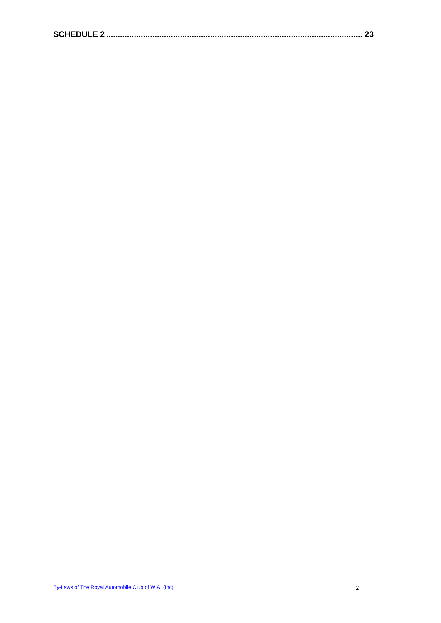|--|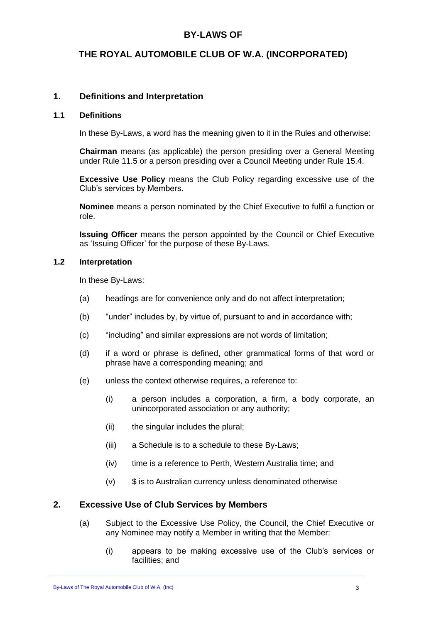### **BY-LAWS OF**

### **THE ROYAL AUTOMOBILE CLUB OF W.A. (INCORPORATED)**

#### <span id="page-3-0"></span>**1. Definitions and Interpretation**

#### <span id="page-3-1"></span>**1.1 Definitions**

In these By-Laws, a word has the meaning given to it in the Rules and otherwise:

**Chairman** means (as applicable) the person presiding over a General Meeting under Rule 11.5 or a person presiding over a Council Meeting under Rule 15.4.

**Excessive Use Policy** means the Club Policy regarding excessive use of the Club's services by Members.

**Nominee** means a person nominated by the Chief Executive to fulfil a function or role.

**Issuing Officer** means the person appointed by the Council or Chief Executive as 'Issuing Officer' for the purpose of these By-Laws.

#### <span id="page-3-2"></span>**1.2 Interpretation**

In these By-Laws:

- (a) headings are for convenience only and do not affect interpretation;
- (b) "under" includes by, by virtue of, pursuant to and in accordance with;
- (c) "including" and similar expressions are not words of limitation;
- (d) if a word or phrase is defined, other grammatical forms of that word or phrase have a corresponding meaning; and
- (e) unless the context otherwise requires, a reference to:
	- (i) a person includes a corporation, a firm, a body corporate, an unincorporated association or any authority;
	- (ii) the singular includes the plural;
	- (iii) a Schedule is to a schedule to these By-Laws;
	- (iv) time is a reference to Perth, Western Australia time; and
	- $(v)$  \$ is to Australian currency unless denominated otherwise

#### <span id="page-3-3"></span>**2. Excessive Use of Club Services by Members**

- (a) Subject to the Excessive Use Policy, the Council, the Chief Executive or any Nominee may notify a Member in writing that the Member:
	- (i) appears to be making excessive use of the Club's services or facilities; and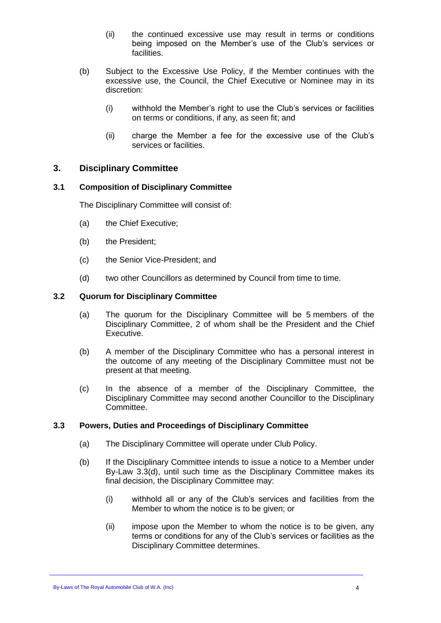- (ii) the continued excessive use may result in terms or conditions being imposed on the Member's use of the Club's services or facilities.
- (b) Subject to the Excessive Use Policy, if the Member continues with the excessive use, the Council, the Chief Executive or Nominee may in its discretion:
	- (i) withhold the Member's right to use the Club's services or facilities on terms or conditions, if any, as seen fit; and
	- (ii) charge the Member a fee for the excessive use of the Club's services or facilities.

#### <span id="page-4-0"></span>**3. Disciplinary Committee**

#### <span id="page-4-1"></span>**3.1 Composition of Disciplinary Committee**

The Disciplinary Committee will consist of:

- (a) the Chief Executive;
- (b) the President;
- (c) the Senior Vice-President; and
- (d) two other Councillors as determined by Council from time to time.

#### <span id="page-4-2"></span>**3.2 Quorum for Disciplinary Committee**

- (a) The quorum for the Disciplinary Committee will be 5 members of the Disciplinary Committee, 2 of whom shall be the President and the Chief Executive.
- (b) A member of the Disciplinary Committee who has a personal interest in the outcome of any meeting of the Disciplinary Committee must not be present at that meeting.
- (c) In the absence of a member of the Disciplinary Committee, the Disciplinary Committee may second another Councillor to the Disciplinary Committee.

#### <span id="page-4-4"></span><span id="page-4-3"></span>**3.3 Powers, Duties and Proceedings of Disciplinary Committee**

- (a) The Disciplinary Committee will operate under Club Policy.
- (b) If the Disciplinary Committee intends to issue a notice to a Member under By-Law [3.3\(d\),](#page-5-0) until such time as the Disciplinary Committee makes its final decision, the Disciplinary Committee may:
	- (i) withhold all or any of the Club's services and facilities from the Member to whom the notice is to be given; or
	- (ii) impose upon the Member to whom the notice is to be given, any terms or conditions for any of the Club's services or facilities as the Disciplinary Committee determines.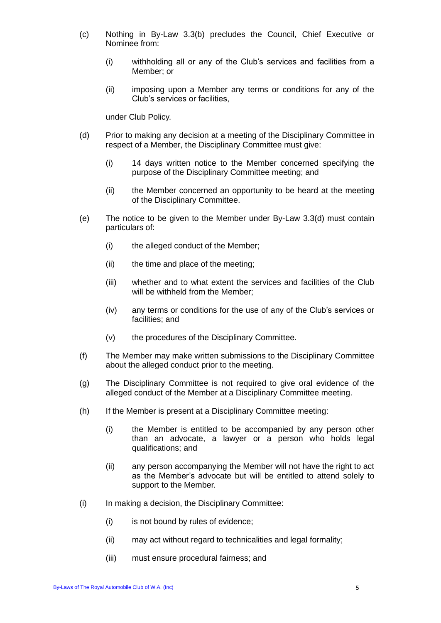- (c) Nothing in By-Law [3.3\(b\)](#page-4-4) precludes the Council, Chief Executive or Nominee from:
	- (i) withholding all or any of the Club's services and facilities from a Member; or
	- (ii) imposing upon a Member any terms or conditions for any of the Club's services or facilities,

under Club Policy.

- <span id="page-5-0"></span>(d) Prior to making any decision at a meeting of the Disciplinary Committee in respect of a Member, the Disciplinary Committee must give:
	- (i) 14 days written notice to the Member concerned specifying the purpose of the Disciplinary Committee meeting; and
	- (ii) the Member concerned an opportunity to be heard at the meeting of the Disciplinary Committee.
- (e) The notice to be given to the Member under By-Law [3.3\(d\)](#page-5-0) must contain particulars of:
	- (i) the alleged conduct of the Member;
	- (ii) the time and place of the meeting;
	- (iii) whether and to what extent the services and facilities of the Club will be withheld from the Member;
	- (iv) any terms or conditions for the use of any of the Club's services or facilities; and
	- (v) the procedures of the Disciplinary Committee.
- (f) The Member may make written submissions to the Disciplinary Committee about the alleged conduct prior to the meeting.
- (g) The Disciplinary Committee is not required to give oral evidence of the alleged conduct of the Member at a Disciplinary Committee meeting.
- (h) If the Member is present at a Disciplinary Committee meeting:
	- (i) the Member is entitled to be accompanied by any person other than an advocate, a lawyer or a person who holds legal qualifications; and
	- (ii) any person accompanying the Member will not have the right to act as the Member's advocate but will be entitled to attend solely to support to the Member.
- (i) In making a decision, the Disciplinary Committee:
	- (i) is not bound by rules of evidence;
	- (ii) may act without regard to technicalities and legal formality;
	- (iii) must ensure procedural fairness; and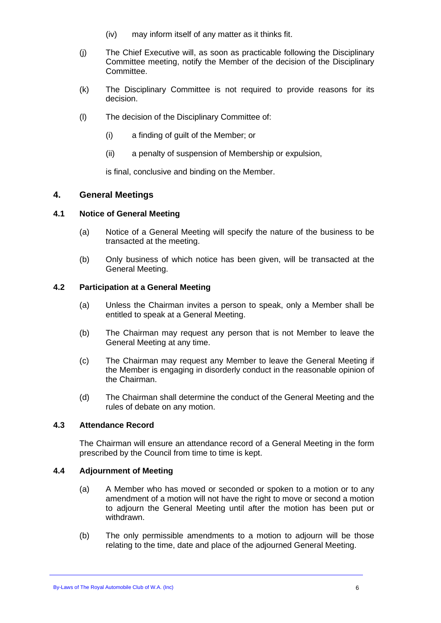- (iv) may inform itself of any matter as it thinks fit.
- (j) The Chief Executive will, as soon as practicable following the Disciplinary Committee meeting, notify the Member of the decision of the Disciplinary Committee.
- (k) The Disciplinary Committee is not required to provide reasons for its decision.
- (l) The decision of the Disciplinary Committee of:
	- (i) a finding of guilt of the Member; or
	- (ii) a penalty of suspension of Membership or expulsion,

is final, conclusive and binding on the Member.

#### <span id="page-6-0"></span>**4. General Meetings**

#### <span id="page-6-1"></span>**4.1 Notice of General Meeting**

- (a) Notice of a General Meeting will specify the nature of the business to be transacted at the meeting.
- (b) Only business of which notice has been given, will be transacted at the General Meeting.

#### <span id="page-6-2"></span>**4.2 Participation at a General Meeting**

- (a) Unless the Chairman invites a person to speak, only a Member shall be entitled to speak at a General Meeting.
- (b) The Chairman may request any person that is not Member to leave the General Meeting at any time.
- (c) The Chairman may request any Member to leave the General Meeting if the Member is engaging in disorderly conduct in the reasonable opinion of the Chairman.
- (d) The Chairman shall determine the conduct of the General Meeting and the rules of debate on any motion.

#### <span id="page-6-3"></span>**4.3 Attendance Record**

The Chairman will ensure an attendance record of a General Meeting in the form prescribed by the Council from time to time is kept.

#### <span id="page-6-4"></span>**4.4 Adjournment of Meeting**

- (a) A Member who has moved or seconded or spoken to a motion or to any amendment of a motion will not have the right to move or second a motion to adjourn the General Meeting until after the motion has been put or withdrawn.
- (b) The only permissible amendments to a motion to adjourn will be those relating to the time, date and place of the adjourned General Meeting.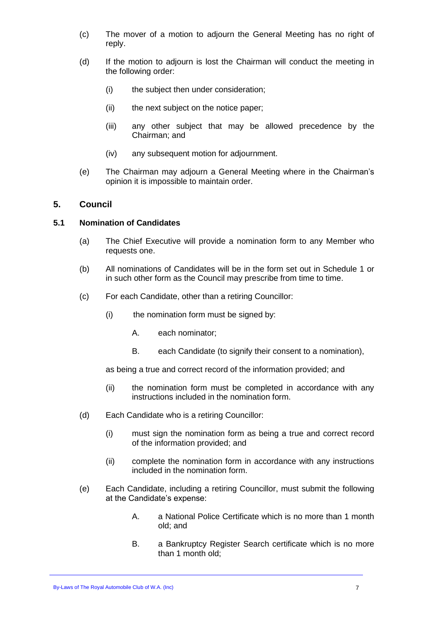- (c) The mover of a motion to adjourn the General Meeting has no right of reply.
- (d) If the motion to adjourn is lost the Chairman will conduct the meeting in the following order:
	- (i) the subject then under consideration;
	- (ii) the next subject on the notice paper:
	- (iii) any other subject that may be allowed precedence by the Chairman; and
	- (iv) any subsequent motion for adjournment.
- (e) The Chairman may adjourn a General Meeting where in the Chairman's opinion it is impossible to maintain order.

#### <span id="page-7-0"></span>**5. Council**

#### <span id="page-7-1"></span>**5.1 Nomination of Candidates**

- (a) The Chief Executive will provide a nomination form to any Member who requests one.
- (b) All nominations of Candidates will be in the form set out in [Schedule 1](#page-14-0) or in such other form as the Council may prescribe from time to time.
- (c) For each Candidate, other than a retiring Councillor:
	- (i) the nomination form must be signed by:
		- A. each nominator;
		- B. each Candidate (to signify their consent to a nomination),

as being a true and correct record of the information provided; and

- (ii) the nomination form must be completed in accordance with any instructions included in the nomination form.
- (d) Each Candidate who is a retiring Councillor:
	- (i) must sign the nomination form as being a true and correct record of the information provided; and
	- (ii) complete the nomination form in accordance with any instructions included in the nomination form.
- <span id="page-7-2"></span>(e) Each Candidate, including a retiring Councillor, must submit the following at the Candidate's expense:
	- A. a National Police Certificate which is no more than 1 month old; and
	- B. a Bankruptcy Register Search certificate which is no more than 1 month old;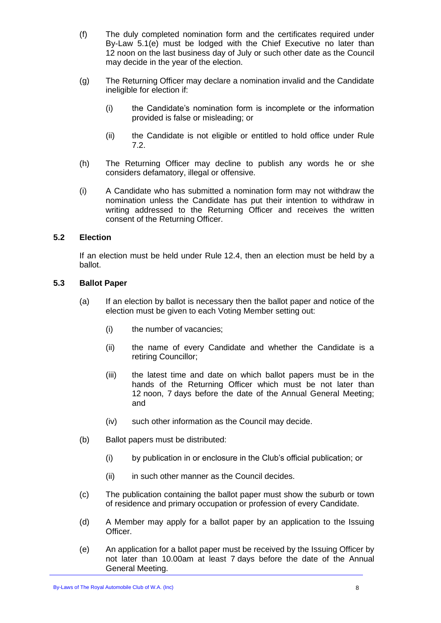- (f) The duly completed nomination form and the certificates required under By-Law [5.1](#page-7-1)[\(e\)](#page-7-2) must be lodged with the Chief Executive no later than 12 noon on the last business day of July or such other date as the Council may decide in the year of the election.
- (g) The Returning Officer may declare a nomination invalid and the Candidate ineligible for election if:
	- (i) the Candidate's nomination form is incomplete or the information provided is false or misleading; or
	- (ii) the Candidate is not eligible or entitled to hold office under Rule 7.2.
- <span id="page-8-4"></span>(h) The Returning Officer may decline to publish any words he or she considers defamatory, illegal or offensive.
- (i) A Candidate who has submitted a nomination form may not withdraw the nomination unless the Candidate has put their intention to withdraw in writing addressed to the Returning Officer and receives the written consent of the Returning Officer.

#### <span id="page-8-0"></span>**5.2 Election**

If an election must be held under Rule 12.4, then an election must be held by a ballot.

#### <span id="page-8-1"></span>**5.3 Ballot Paper**

- (a) If an election by ballot is necessary then the ballot paper and notice of the election must be given to each Voting Member setting out:
	- (i) the number of vacancies;
	- (ii) the name of every Candidate and whether the Candidate is a retiring Councillor;
	- (iii) the latest time and date on which ballot papers must be in the hands of the Returning Officer which must be not later than 12 noon, 7 days before the date of the Annual General Meeting; and
	- (iv) such other information as the Council may decide.
- <span id="page-8-3"></span>(b) Ballot papers must be distributed:
	- (i) by publication in or enclosure in the Club's official publication; or
	- (ii) in such other manner as the Council decides.
- (c) The publication containing the ballot paper must show the suburb or town of residence and primary occupation or profession of every Candidate.
- <span id="page-8-2"></span>(d) A Member may apply for a ballot paper by an application to the Issuing Officer.
- (e) An application for a ballot paper must be received by the Issuing Officer by not later than 10.00am at least 7 days before the date of the Annual General Meeting.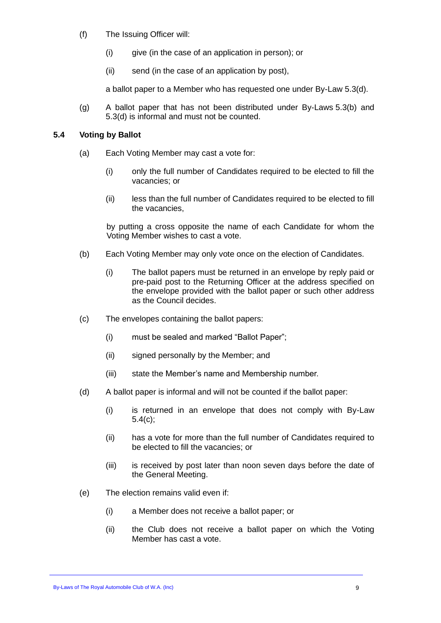- (f) The Issuing Officer will:
	- (i) give (in the case of an application in person); or
	- (ii) send (in the case of an application by post),

a ballot paper to a Member who has requested one under By-Law [5.3](#page-8-1)[\(d\).](#page-8-2)

(g) A ballot paper that has not been distributed under By-Laws [5.3\(b\)](#page-8-3) and [5.3](#page-8-1)[\(d\)](#page-8-2) is informal and must not be counted.

#### <span id="page-9-0"></span>**5.4 Voting by Ballot**

- (a) Each Voting Member may cast a vote for:
	- (i) only the full number of Candidates required to be elected to fill the vacancies; or
	- (ii) less than the full number of Candidates required to be elected to fill the vacancies,

by putting a cross opposite the name of each Candidate for whom the Voting Member wishes to cast a vote.

- (b) Each Voting Member may only vote once on the election of Candidates.
	- (i) The ballot papers must be returned in an envelope by reply paid or pre-paid post to the Returning Officer at the address specified on the envelope provided with the ballot paper or such other address as the Council decides.
- <span id="page-9-1"></span>(c) The envelopes containing the ballot papers:
	- (i) must be sealed and marked "Ballot Paper";
	- (ii) signed personally by the Member; and
	- (iii) state the Member's name and Membership number.
- (d) A ballot paper is informal and will not be counted if the ballot paper:
	- (i) is returned in an envelope that does not comply with By-Law [5.4\(c\);](#page-9-1)
	- (ii) has a vote for more than the full number of Candidates required to be elected to fill the vacancies; or
	- (iii) is received by post later than noon seven days before the date of the General Meeting.
- (e) The election remains valid even if:
	- (i) a Member does not receive a ballot paper; or
	- (ii) the Club does not receive a ballot paper on which the Voting Member has cast a vote.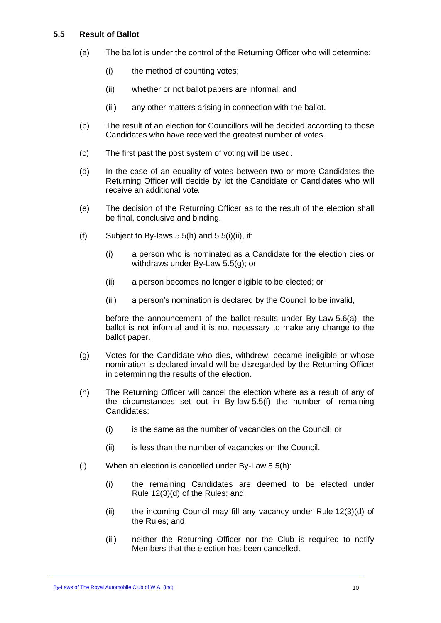#### <span id="page-10-0"></span>**5.5 Result of Ballot**

- (a) The ballot is under the control of the Returning Officer who will determine:
	- (i) the method of counting votes;
	- (ii) whether or not ballot papers are informal; and
	- (iii) any other matters arising in connection with the ballot.
- (b) The result of an election for Councillors will be decided according to those Candidates who have received the greatest number of votes.
- (c) The first past the post system of voting will be used.
- (d) In the case of an equality of votes between two or more Candidates the Returning Officer will decide by lot the Candidate or Candidates who will receive an additional vote*.*
- (e) The decision of the Returning Officer as to the result of the election shall be final, conclusive and binding.
- <span id="page-10-4"></span>(f) Subject to By-laws  $5.5(h)$  and  $5.5(i)(ii)$ , if:
	- (i) a person who is nominated as a Candidate for the election dies or withdraws under By-Law [5.5\(g\);](#page-10-3) or
	- (ii) a person becomes no longer eligible to be elected; or
	- (iii) a person's nomination is declared by the Council to be invalid,

before the announcement of the ballot results under By-Law [5.6\(a\),](#page-11-4) the ballot is not informal and it is not necessary to make any change to the ballot paper.

- <span id="page-10-3"></span>(g) Votes for the Candidate who dies, withdrew, became ineligible or whose nomination is declared invalid will be disregarded by the Returning Officer in determining the results of the election.
- <span id="page-10-1"></span>(h) The Returning Officer will cancel the election where as a result of any of the circumstances set out in By-law [5.5\(f\)](#page-10-4) the number of remaining Candidates:
	- (i) is the same as the number of vacancies on the Council; or
	- (ii) is less than the number of vacancies on the Council.
- <span id="page-10-2"></span>(i) When an election is cancelled under By-Law [5.5\(h\):](#page-10-1)
	- (i) the remaining Candidates are deemed to be elected under Rule 12(3)(d) of the Rules; and
	- (ii) the incoming Council may fill any vacancy under Rule 12(3)(d) of the Rules; and
	- (iii) neither the Returning Officer nor the Club is required to notify Members that the election has been cancelled.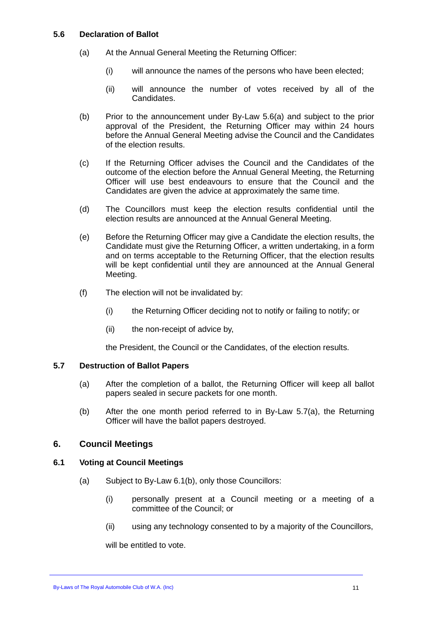#### <span id="page-11-4"></span><span id="page-11-0"></span>**5.6 Declaration of Ballot**

- (a) At the Annual General Meeting the Returning Officer:
	- (i) will announce the names of the persons who have been elected;
	- (ii) will announce the number of votes received by all of the Candidates.
- (b) Prior to the announcement under By-Law [5.6\(a\)](#page-11-4) and subject to the prior approval of the President, the Returning Officer may within 24 hours before the Annual General Meeting advise the Council and the Candidates of the election results.
- (c) If the Returning Officer advises the Council and the Candidates of the outcome of the election before the Annual General Meeting, the Returning Officer will use best endeavours to ensure that the Council and the Candidates are given the advice at approximately the same time.
- (d) The Councillors must keep the election results confidential until the election results are announced at the Annual General Meeting.
- (e) Before the Returning Officer may give a Candidate the election results, the Candidate must give the Returning Officer, a written undertaking, in a form and on terms acceptable to the Returning Officer, that the election results will be kept confidential until they are announced at the Annual General Meeting.
- (f) The election will not be invalidated by:
	- (i) the Returning Officer deciding not to notify or failing to notify; or
	- (ii) the non-receipt of advice by,

the President, the Council or the Candidates, of the election results.

#### <span id="page-11-5"></span><span id="page-11-1"></span>**5.7 Destruction of Ballot Papers**

- (a) After the completion of a ballot, the Returning Officer will keep all ballot papers sealed in secure packets for one month.
- (b) After the one month period referred to in By-Law [5.7\(a\),](#page-11-5) the Returning Officer will have the ballot papers destroyed.

#### <span id="page-11-3"></span><span id="page-11-2"></span>**6. Council Meetings**

#### **6.1 Voting at Council Meetings**

- (a) Subject to By-Law [6.1\(b\),](#page-12-2) only those Councillors:
	- (i) personally present at a Council meeting or a meeting of a committee of the Council; or
	- (ii) using any technology consented to by a majority of the Councillors,

will be entitled to vote.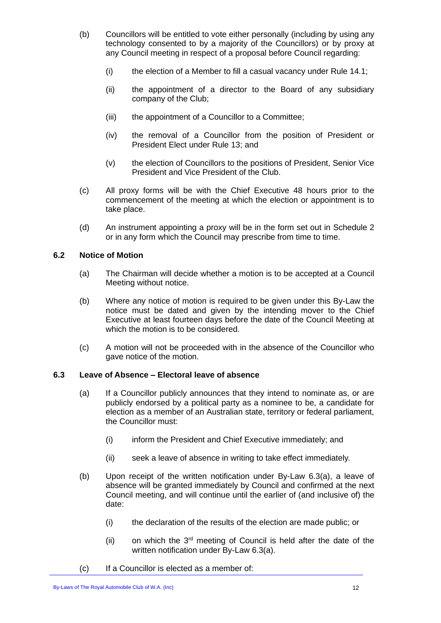- <span id="page-12-2"></span>(b) Councillors will be entitled to vote either personally (including by using any technology consented to by a majority of the Councillors) or by proxy at any Council meeting in respect of a proposal before Council regarding:
	- (i) the election of a Member to fill a casual vacancy under Rule 14.1;
	- (ii) the appointment of a director to the Board of any subsidiary company of the Club;
	- (iii) the appointment of a Councillor to a Committee;
	- (iv) the removal of a Councillor from the position of President or President Elect under Rule 13; and
	- (v) the election of Councillors to the positions of President, Senior Vice President and Vice President of the Club.
- (c) All proxy forms will be with the Chief Executive 48 hours prior to the commencement of the meeting at which the election or appointment is to take place.
- (d) An instrument appointing a proxy will be in the form set out in [Schedule 2](#page-23-0) or in any form which the Council may prescribe from time to time.

#### <span id="page-12-0"></span>**6.2 Notice of Motion**

- (a) The Chairman will decide whether a motion is to be accepted at a Council Meeting without notice.
- (b) Where any notice of motion is required to be given under this By-Law the notice must be dated and given by the intending mover to the Chief Executive at least fourteen days before the date of the Council Meeting at which the motion is to be considered.
- (c) A motion will not be proceeded with in the absence of the Councillor who gave notice of the motion.

#### <span id="page-12-1"></span>**6.3 Leave of Absence – Electoral leave of absence**

- (a) If a Councillor publicly announces that they intend to nominate as, or are publicly endorsed by a political party as a nominee to be, a candidate for election as a member of an Australian state, territory or federal parliament, the Councillor must:
	- (i) inform the President and Chief Executive immediately; and
	- (ii) seek a leave of absence in writing to take effect immediately.
- (b) Upon receipt of the written notification under By-Law 6.3(a), a leave of absence will be granted immediately by Council and confirmed at the next Council meeting, and will continue until the earlier of (and inclusive of) the date:
	- (i) the declaration of the results of the election are made public; or
	- $(ii)$  on which the  $3<sup>rd</sup>$  meeting of Council is held after the date of the written notification under By-Law 6.3(a).
- (c) If a Councillor is elected as a member of: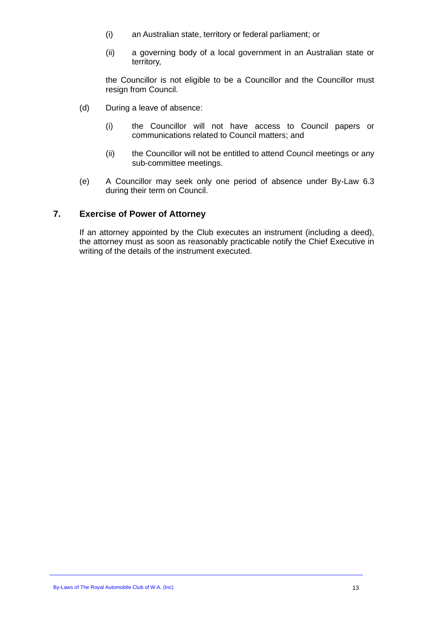- (i) an Australian state, territory or federal parliament; or
- (ii) a governing body of a local government in an Australian state or territory,

the Councillor is not eligible to be a Councillor and the Councillor must resign from Council.

- (d) During a leave of absence:
	- (i) the Councillor will not have access to Council papers or communications related to Council matters; and
	- (ii) the Councillor will not be entitled to attend Council meetings or any sub-committee meetings.
- (e) A Councillor may seek only one period of absence under By-Law 6.3 during their term on Council.

#### <span id="page-13-0"></span>**7. Exercise of Power of Attorney**

If an attorney appointed by the Club executes an instrument (including a deed), the attorney must as soon as reasonably practicable notify the Chief Executive in writing of the details of the instrument executed.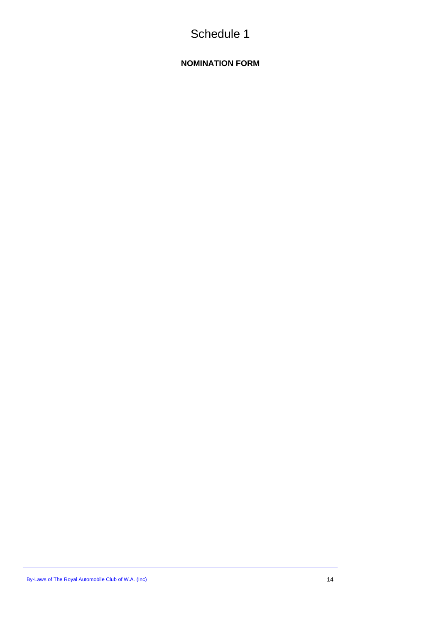# Schedule 1

### <span id="page-14-0"></span>**NOMINATION FORM**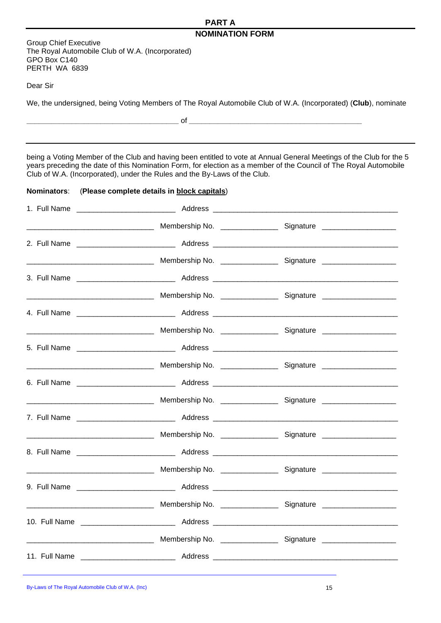#### **PART A NOMINATION FORM**

Group Chief Executive The Royal Automobile Club of W.A. (Incorporated) GPO Box C140 PERTH WA 6839

Dear Sir

We, the undersigned, being Voting Members of The Royal Automobile Club of W.A. (Incorporated) (**Club**), nominate

**\_\_\_\_\_\_\_\_\_\_\_\_\_\_\_\_\_\_\_\_\_\_\_\_\_\_\_\_\_\_\_\_\_\_\_\_\_** of **\_\_\_\_\_\_\_\_\_\_\_\_\_\_\_\_\_\_\_\_\_\_\_\_\_\_\_\_\_\_\_\_\_\_\_\_\_\_\_\_\_\_**

being a Voting Member of the Club and having been entitled to vote at Annual General Meetings of the Club for the 5 years preceding the date of this Nomination Form, for election as a member of the Council of The Royal Automobile Club of W.A. (Incorporated), under the Rules and the By-Laws of the Club.

#### **Nominators**: (**Please complete details in block capitals**)

|  | <b>Membership No.</b> 2008 2009 2010 Signature 2008. 2009 2010 Membership No. 2008. 2009 2010 2010 2010 2010 2010 20 |
|--|----------------------------------------------------------------------------------------------------------------------|
|  |                                                                                                                      |
|  |                                                                                                                      |
|  |                                                                                                                      |
|  |                                                                                                                      |
|  |                                                                                                                      |
|  |                                                                                                                      |
|  |                                                                                                                      |
|  |                                                                                                                      |
|  |                                                                                                                      |
|  |                                                                                                                      |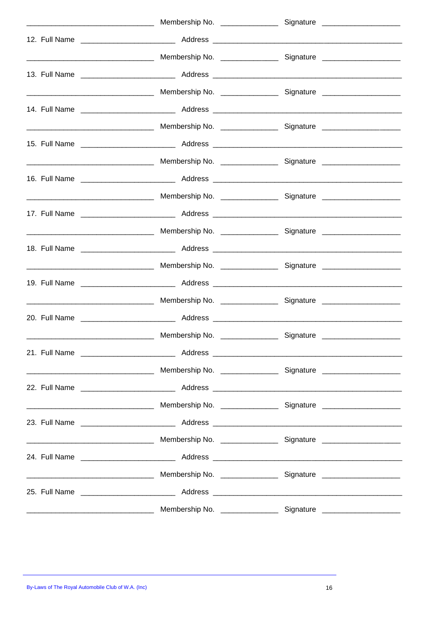| the control of the control of the control of |  |
|----------------------------------------------|--|
|                                              |  |
|                                              |  |
|                                              |  |
|                                              |  |
|                                              |  |
|                                              |  |
|                                              |  |
|                                              |  |
|                                              |  |
|                                              |  |
|                                              |  |
|                                              |  |
|                                              |  |
|                                              |  |
|                                              |  |
|                                              |  |
|                                              |  |
|                                              |  |
|                                              |  |
|                                              |  |
|                                              |  |
|                                              |  |
|                                              |  |
|                                              |  |
|                                              |  |
|                                              |  |
|                                              |  |
|                                              |  |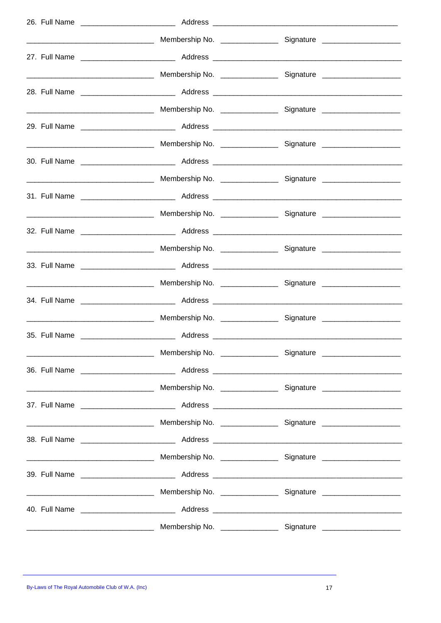|  | <b>Membership No.</b> 2008 2009 2010 Signature 2008 2009 2010 2021 2030 Membership No. 2008 2009 2010 2010 2010 2010 |
|--|----------------------------------------------------------------------------------------------------------------------|
|  |                                                                                                                      |
|  |                                                                                                                      |
|  |                                                                                                                      |
|  |                                                                                                                      |
|  |                                                                                                                      |
|  |                                                                                                                      |
|  |                                                                                                                      |
|  |                                                                                                                      |
|  |                                                                                                                      |
|  |                                                                                                                      |
|  |                                                                                                                      |
|  |                                                                                                                      |
|  |                                                                                                                      |
|  |                                                                                                                      |
|  |                                                                                                                      |
|  |                                                                                                                      |
|  |                                                                                                                      |
|  |                                                                                                                      |
|  |                                                                                                                      |
|  |                                                                                                                      |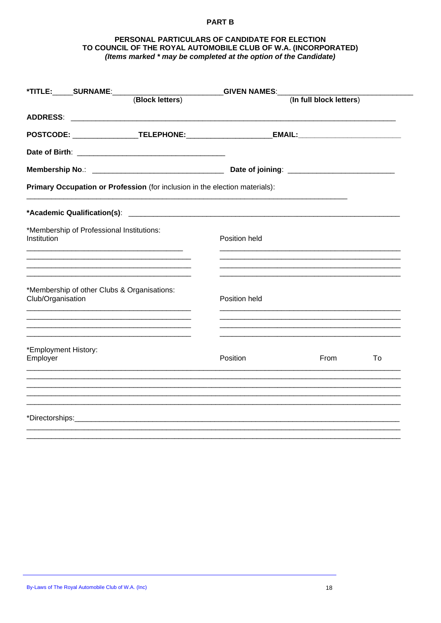#### **PART B**

#### PERSONAL PARTICULARS OF CANDIDATE FOR ELECTION TO COUNCIL OF THE ROYAL AUTOMOBILE CLUB OF W.A. (INCORPORATED) (Items marked \* may be completed at the option of the Candidate)

|               |                                                                             | <b>GIVEN NAMES:__</b> |  |  |  |
|---------------|-----------------------------------------------------------------------------|-----------------------|--|--|--|
|               | (In full block letters)                                                     |                       |  |  |  |
|               |                                                                             |                       |  |  |  |
|               |                                                                             |                       |  |  |  |
|               |                                                                             |                       |  |  |  |
|               |                                                                             |                       |  |  |  |
|               |                                                                             |                       |  |  |  |
|               |                                                                             |                       |  |  |  |
| Position held |                                                                             |                       |  |  |  |
| Position held |                                                                             |                       |  |  |  |
| Position      | From                                                                        | To                    |  |  |  |
|               |                                                                             |                       |  |  |  |
|               |                                                                             |                       |  |  |  |
|               | Primary Occupation or Profession (for inclusion in the election materials): |                       |  |  |  |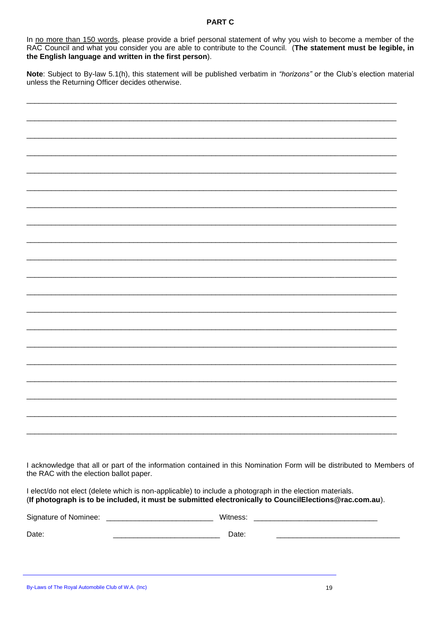#### **PART C**

In no more than 150 words, please provide a brief personal statement of why you wish to become a member of the RAC Council and what you consider you are able to contribute to the Council. (The statement must be legible, in the English language and written in the first person).

Note: Subject to By-law 5.1(h), this statement will be published verbatim in "horizons" or the Club's election material unless the Returning Officer decides otherwise.

I acknowledge that all or part of the information contained in this Nomination Form will be distributed to Members of the RAC with the election ballot paper.

I elect/do not elect (delete which is non-applicable) to include a photograph in the election materials. (If photograph is to be included, it must be submitted electronically to CouncilElections@rac.com.au).

| Signature of Nominee: | Witness: |  |
|-----------------------|----------|--|
| Date:                 | Date:    |  |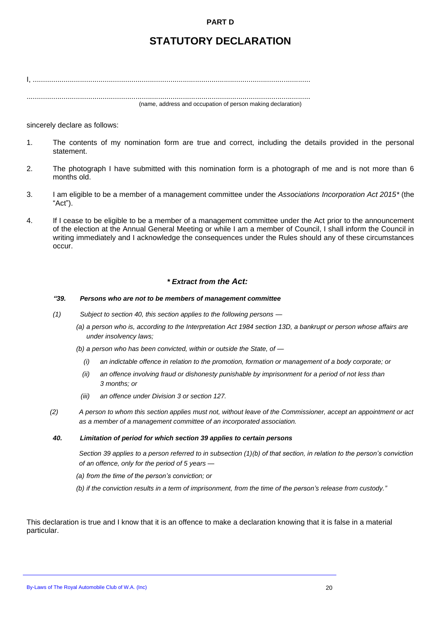#### **PART D**

# **STATUTORY DECLARATION**

I, ....................................................................................................................................... ..........................................................................................................................................

(name, address and occupation of person making declaration)

#### sincerely declare as follows:

- 1. The contents of my nomination form are true and correct, including the details provided in the personal statement.
- 2. The photograph I have submitted with this nomination form is a photograph of me and is not more than 6 months old.
- 3. I am eligible to be a member of a management committee under the *Associations Incorporation Act 2015\** (the "Act").
- 4. If I cease to be eligible to be a member of a management committee under the Act prior to the announcement of the election at the Annual General Meeting or while I am a member of Council, I shall inform the Council in writing immediately and I acknowledge the consequences under the Rules should any of these circumstances occur.

#### *\* Extract from the Act:*

#### *"39. Persons who are not to be members of management committee*

- *(1) Subject to section 40, this section applies to the following persons —*
	- *(a) a person who is, according to the Interpretation Act 1984 section 13D, a bankrupt or person whose affairs are under insolvency laws;*

*(b) a person who has been convicted, within or outside the State, of —*

- *(i) an indictable offence in relation to the promotion, formation or management of a body corporate; or*
- *(ii) an offence involving fraud or dishonesty punishable by imprisonment for a period of not less than 3 months; or*
- *(iii) an offence under Division 3 or section 127.*
- *(2) A person to whom this section applies must not, without leave of the Commissioner, accept an appointment or act as a member of a management committee of an incorporated association.*

#### *40. Limitation of period for which section 39 applies to certain persons*

*Section 39 applies to a person referred to in subsection (1)(b) of that section, in relation to the person's conviction of an offence, only for the period of 5 years —*

*(a) from the time of the person's conviction; or*

*(b) if the conviction results in a term of imprisonment, from the time of the person's release from custody."*

This declaration is true and I know that it is an offence to make a declaration knowing that it is false in a material particular.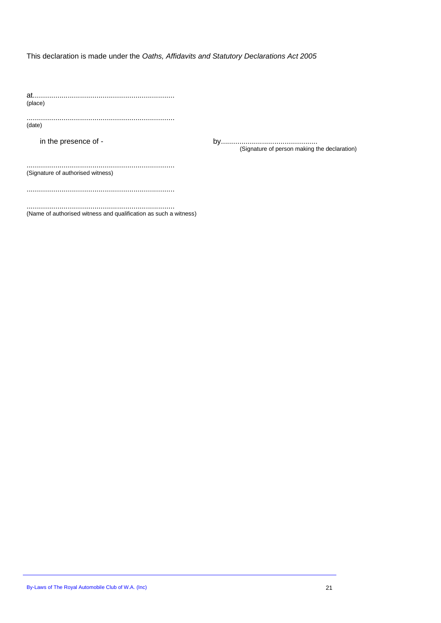This declaration is made under the *Oaths, Affidavits and Statutory Declarations Act 2005*

at..................................................................... (place)

........................................................................ (date)

in the presence of - by............................................... (Signature of person making the declaration)

........................................................................ (Signature of authorised witness)

........................................................................

........................................................................ (Name of authorised witness and qualification as such a witness)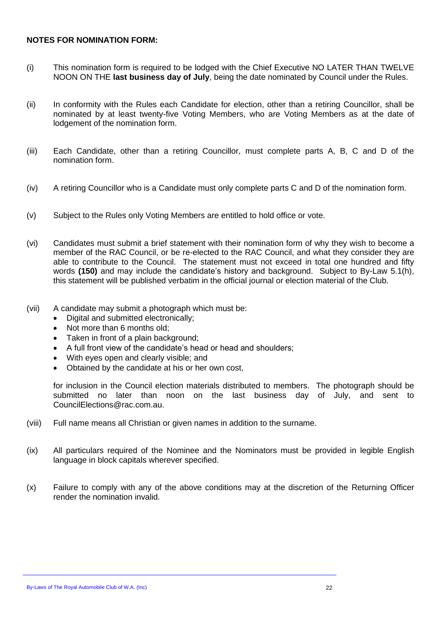#### **NOTES FOR NOMINATION FORM:**

- (i) This nomination form is required to be lodged with the Chief Executive NO LATER THAN TWELVE NOON ON THE **last business day of July**, being the date nominated by Council under the Rules.
- (ii) In conformity with the Rules each Candidate for election, other than a retiring Councillor, shall be nominated by at least twenty-five Voting Members, who are Voting Members as at the date of lodgement of the nomination form.
- (iii) Each Candidate, other than a retiring Councillor, must complete parts A, B, C and D of the nomination form.
- (iv) A retiring Councillor who is a Candidate must only complete parts C and D of the nomination form.
- (v) Subject to the Rules only Voting Members are entitled to hold office or vote.
- (vi) Candidates must submit a brief statement with their nomination form of why they wish to become a member of the RAC Council, or be re-elected to the RAC Council, and what they consider they are able to contribute to the Council. The statement must not exceed in total one hundred and fifty words **(150)** and may include the candidate's history and background. Subject to By-Law [5.1\(h\),](#page-8-4) this statement will be published verbatim in the official journal or election material of the Club.
- (vii) A candidate may submit a photograph which must be:
	- Digital and submitted electronically;
	- Not more than 6 months old;
	- Taken in front of a plain background:
	- A full front view of the candidate's head or head and shoulders;
	- With eyes open and clearly visible; and
	- Obtained by the candidate at his or her own cost,

for inclusion in the Council election materials distributed to members. The photograph should be submitted no later than noon on the last business day of July, and sent to CouncilElections@rac.com.au.

- (viii) Full name means all Christian or given names in addition to the surname.
- (ix) All particulars required of the Nominee and the Nominators must be provided in legible English language in block capitals wherever specified.
- (x) Failure to comply with any of the above conditions may at the discretion of the Returning Officer render the nomination invalid.